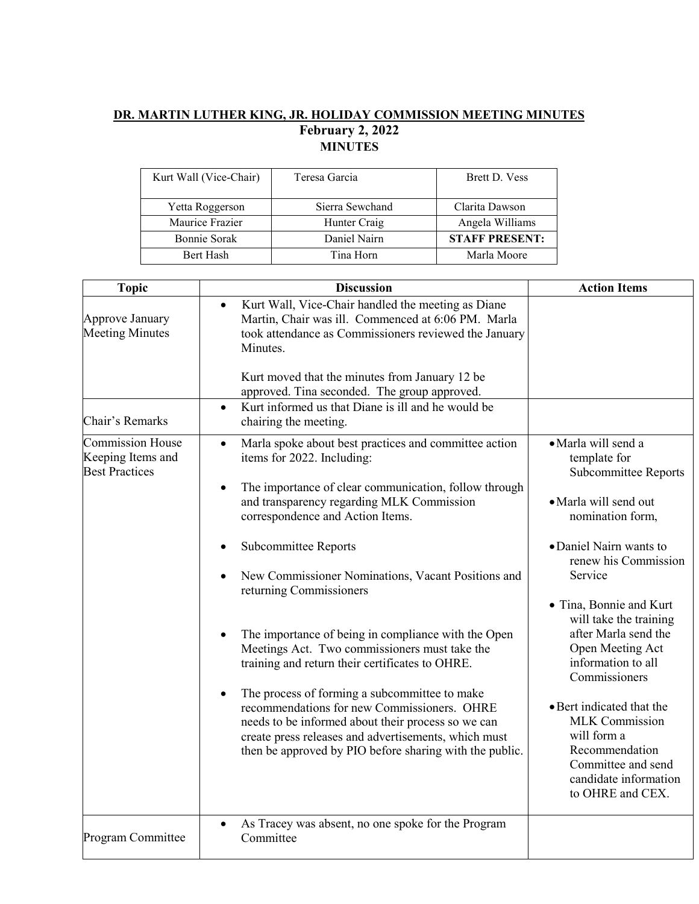## **DR. MARTIN LUTHER KING, JR. HOLIDAY COMMISSION MEETING MINUTES February 2, 2022 MINUTES**

| Kurt Wall (Vice-Chair) | Teresa Garcia   | <b>Brett D. Vess</b>  |
|------------------------|-----------------|-----------------------|
| Yetta Roggerson        | Sierra Sewchand | Clarita Dawson        |
| Maurice Frazier        | Hunter Craig    | Angela Williams       |
| Bonnie Sorak           | Daniel Nairn    | <b>STAFF PRESENT:</b> |
| <b>Bert Hash</b>       | Tina Horn       | Marla Moore           |

| <b>Topic</b>                                                          | <b>Discussion</b>                                                                                                                                                                                                                                                                  | <b>Action Items</b>                                                                                                                                    |
|-----------------------------------------------------------------------|------------------------------------------------------------------------------------------------------------------------------------------------------------------------------------------------------------------------------------------------------------------------------------|--------------------------------------------------------------------------------------------------------------------------------------------------------|
| Approve January<br><b>Meeting Minutes</b>                             | Kurt Wall, Vice-Chair handled the meeting as Diane<br>$\bullet$<br>Martin, Chair was ill. Commenced at 6:06 PM. Marla<br>took attendance as Commissioners reviewed the January<br>Minutes.                                                                                         |                                                                                                                                                        |
|                                                                       | Kurt moved that the minutes from January 12 be<br>approved. Tina seconded. The group approved.                                                                                                                                                                                     |                                                                                                                                                        |
| Chair's Remarks                                                       | Kurt informed us that Diane is ill and he would be<br>$\bullet$<br>chairing the meeting.                                                                                                                                                                                           |                                                                                                                                                        |
| <b>Commission House</b><br>Keeping Items and<br><b>Best Practices</b> | Marla spoke about best practices and committee action<br>$\bullet$<br>items for 2022. Including:                                                                                                                                                                                   | · Marla will send a<br>template for<br>Subcommittee Reports                                                                                            |
|                                                                       | The importance of clear communication, follow through<br>$\bullet$<br>and transparency regarding MLK Commission<br>correspondence and Action Items.                                                                                                                                | · Marla will send out<br>nomination form,                                                                                                              |
|                                                                       | Subcommittee Reports<br>New Commissioner Nominations, Vacant Positions and<br>returning Commissioners                                                                                                                                                                              | · Daniel Nairn wants to<br>renew his Commission<br>Service                                                                                             |
|                                                                       | The importance of being in compliance with the Open<br>$\bullet$<br>Meetings Act. Two commissioners must take the<br>training and return their certificates to OHRE.                                                                                                               | • Tina, Bonnie and Kurt<br>will take the training<br>after Marla send the<br>Open Meeting Act<br>information to all<br>Commissioners                   |
|                                                                       | The process of forming a subcommittee to make<br>$\bullet$<br>recommendations for new Commissioners. OHRE<br>needs to be informed about their process so we can<br>create press releases and advertisements, which must<br>then be approved by PIO before sharing with the public. | • Bert indicated that the<br><b>MLK</b> Commission<br>will form a<br>Recommendation<br>Committee and send<br>candidate information<br>to OHRE and CEX. |
| Program Committee                                                     | As Tracey was absent, no one spoke for the Program<br>$\bullet$<br>Committee                                                                                                                                                                                                       |                                                                                                                                                        |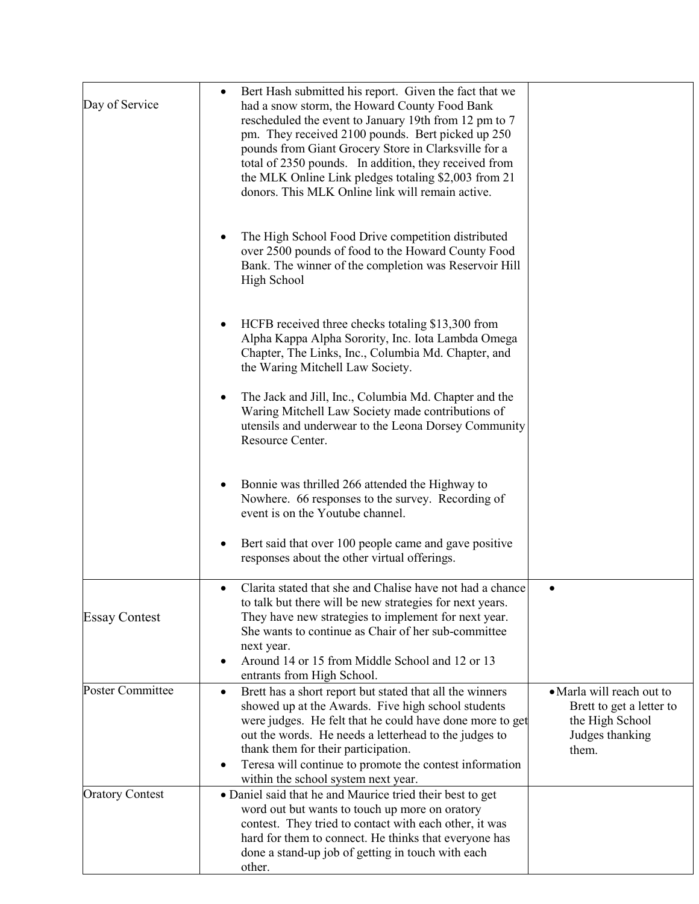| Day of Service          | Bert Hash submitted his report. Given the fact that we<br>had a snow storm, the Howard County Food Bank<br>rescheduled the event to January 19th from 12 pm to 7<br>pm. They received 2100 pounds. Bert picked up 250<br>pounds from Giant Grocery Store in Clarksville for a<br>total of 2350 pounds. In addition, they received from<br>the MLK Online Link pledges totaling \$2,003 from 21<br>donors. This MLK Online link will remain active. |                                                                                                      |
|-------------------------|----------------------------------------------------------------------------------------------------------------------------------------------------------------------------------------------------------------------------------------------------------------------------------------------------------------------------------------------------------------------------------------------------------------------------------------------------|------------------------------------------------------------------------------------------------------|
|                         | The High School Food Drive competition distributed<br>over 2500 pounds of food to the Howard County Food<br>Bank. The winner of the completion was Reservoir Hill<br>High School                                                                                                                                                                                                                                                                   |                                                                                                      |
|                         | HCFB received three checks totaling \$13,300 from<br>Alpha Kappa Alpha Sorority, Inc. Iota Lambda Omega<br>Chapter, The Links, Inc., Columbia Md. Chapter, and<br>the Waring Mitchell Law Society.                                                                                                                                                                                                                                                 |                                                                                                      |
|                         | The Jack and Jill, Inc., Columbia Md. Chapter and the<br>$\bullet$<br>Waring Mitchell Law Society made contributions of<br>utensils and underwear to the Leona Dorsey Community<br>Resource Center.                                                                                                                                                                                                                                                |                                                                                                      |
|                         | Bonnie was thrilled 266 attended the Highway to<br>٠<br>Nowhere. 66 responses to the survey. Recording of<br>event is on the Youtube channel.                                                                                                                                                                                                                                                                                                      |                                                                                                      |
|                         | Bert said that over 100 people came and gave positive<br>responses about the other virtual offerings.                                                                                                                                                                                                                                                                                                                                              |                                                                                                      |
| <b>Essay Contest</b>    | Clarita stated that she and Chalise have not had a chance<br>٠<br>to talk but there will be new strategies for next years.<br>They have new strategies to implement for next year.<br>She wants to continue as Chair of her sub-committee<br>next year.<br>Around 14 or 15 from Middle School and 12 or 13<br>$\bullet$<br>entrants from High School.                                                                                              | ٠                                                                                                    |
| <b>Poster Committee</b> | Brett has a short report but stated that all the winners<br>$\bullet$<br>showed up at the Awards. Five high school students<br>were judges. He felt that he could have done more to get<br>out the words. He needs a letterhead to the judges to<br>thank them for their participation.<br>Teresa will continue to promote the contest information<br>$\bullet$<br>within the school system next year.                                             | • Marla will reach out to<br>Brett to get a letter to<br>the High School<br>Judges thanking<br>them. |
| <b>Oratory Contest</b>  | • Daniel said that he and Maurice tried their best to get<br>word out but wants to touch up more on oratory<br>contest. They tried to contact with each other, it was<br>hard for them to connect. He thinks that everyone has<br>done a stand-up job of getting in touch with each<br>other.                                                                                                                                                      |                                                                                                      |